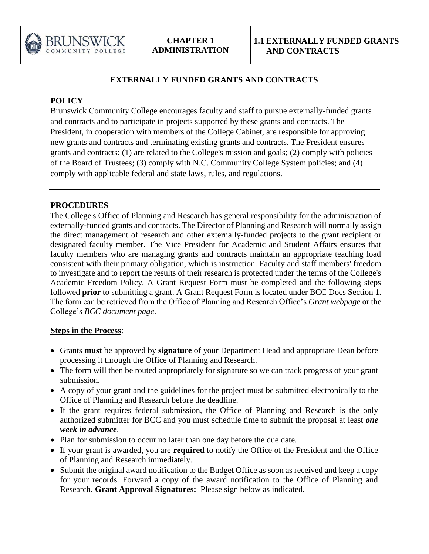

## **EXTERNALLY FUNDED GRANTS AND CONTRACTS**

# **POLICY**

Brunswick Community College encourages faculty and staff to pursue externally-funded grants and contracts and to participate in projects supported by these grants and contracts. The President, in cooperation with members of the College Cabinet, are responsible for approving new grants and contracts and terminating existing grants and contracts. The President ensures grants and contracts: (1) are related to the College's mission and goals; (2) comply with policies of the Board of Trustees; (3) comply with N.C. Community College System policies; and (4) comply with applicable federal and state laws, rules, and regulations.

#### **PROCEDURES**

The College's Office of Planning and Research has general responsibility for the administration of externally-funded grants and contracts. The Director of Planning and Research will normally assign the direct management of research and other externally-funded projects to the grant recipient or designated faculty member. The Vice President for Academic and Student Affairs ensures that faculty members who are managing grants and contracts maintain an appropriate teaching load consistent with their primary obligation, which is instruction. Faculty and staff members' freedom to investigate and to report the results of their research is protected under the terms of the College's Academic Freedom Policy. A Grant Request Form must be completed and the following steps followed **prior** to submitting a grant. A Grant Request Form is located under BCC Docs Section 1. The form can be retrieved from the Office of Planning and Research Office's *Grant webpage* or the College's *BCC document page*.

#### **Steps in the Process**:

- Grants **must** be approved by **signature** of your Department Head and appropriate Dean before processing it through the Office of Planning and Research.
- The form will then be routed appropriately for signature so we can track progress of your grant submission.
- A copy of your grant and the guidelines for the project must be submitted electronically to the Office of Planning and Research before the deadline.
- If the grant requires federal submission, the Office of Planning and Research is the only authorized submitter for BCC and you must schedule time to submit the proposal at least *one week in advance*.
- Plan for submission to occur no later than one day before the due date.
- If your grant is awarded, you are **required** to notify the Office of the President and the Office of Planning and Research immediately.
- Submit the original award notification to the Budget Office as soon as received and keep a copy for your records. Forward a copy of the award notification to the Office of Planning and Research. **Grant Approval Signatures:** Please sign below as indicated.